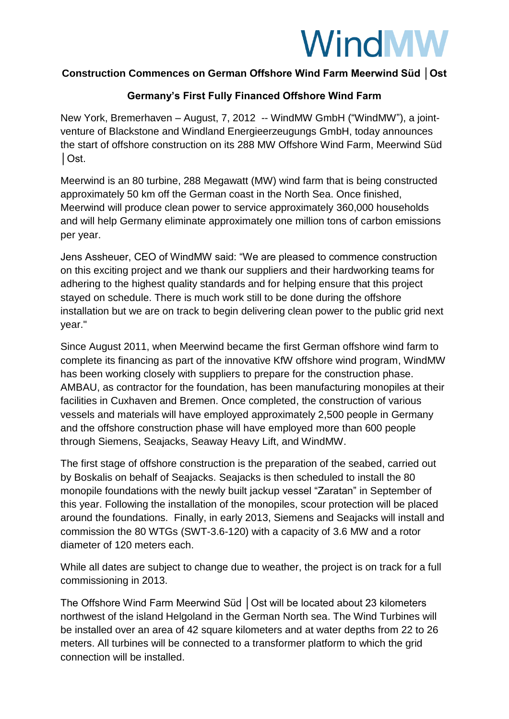## **WindMW**

## **Construction Commences on German Offshore Wind Farm Meerwind Süd │Ost**

## **Germany's First Fully Financed Offshore Wind Farm**

New York, Bremerhaven – August, 7, 2012 -- WindMW GmbH ("WindMW"), a jointventure of Blackstone and Windland Energieerzeugungs GmbH, today announces the start of offshore construction on its 288 MW Offshore Wind Farm, Meerwind Süd │Ost.

Meerwind is an 80 turbine, 288 Megawatt (MW) wind farm that is being constructed approximately 50 km off the German coast in the North Sea. Once finished, Meerwind will produce clean power to service approximately 360,000 households and will help Germany eliminate approximately one million tons of carbon emissions per year.

Jens Assheuer, CEO of WindMW said: "We are pleased to commence construction on this exciting project and we thank our suppliers and their hardworking teams for adhering to the highest quality standards and for helping ensure that this project stayed on schedule. There is much work still to be done during the offshore installation but we are on track to begin delivering clean power to the public grid next year."

Since August 2011, when Meerwind became the first German offshore wind farm to complete its financing as part of the innovative KfW offshore wind program, WindMW has been working closely with suppliers to prepare for the construction phase. AMBAU, as contractor for the foundation, has been manufacturing monopiles at their facilities in Cuxhaven and Bremen. Once completed, the construction of various vessels and materials will have employed approximately 2,500 people in Germany and the offshore construction phase will have employed more than 600 people through Siemens, Seajacks, Seaway Heavy Lift, and WindMW.

The first stage of offshore construction is the preparation of the seabed, carried out by Boskalis on behalf of Seajacks. Seajacks is then scheduled to install the 80 monopile foundations with the newly built jackup vessel "Zaratan" in September of this year. Following the installation of the monopiles, scour protection will be placed around the foundations. Finally, in early 2013, Siemens and Seajacks will install and commission the 80 WTGs (SWT-3.6-120) with a capacity of 3.6 MW and a rotor diameter of 120 meters each.

While all dates are subject to change due to weather, the project is on track for a full commissioning in 2013.

The Offshore Wind Farm Meerwind Süd │Ost will be located about 23 kilometers northwest of the island Helgoland in the German North sea. The Wind Turbines will be installed over an area of 42 square kilometers and at water depths from 22 to 26 meters. All turbines will be connected to a transformer platform to which the grid connection will be installed.